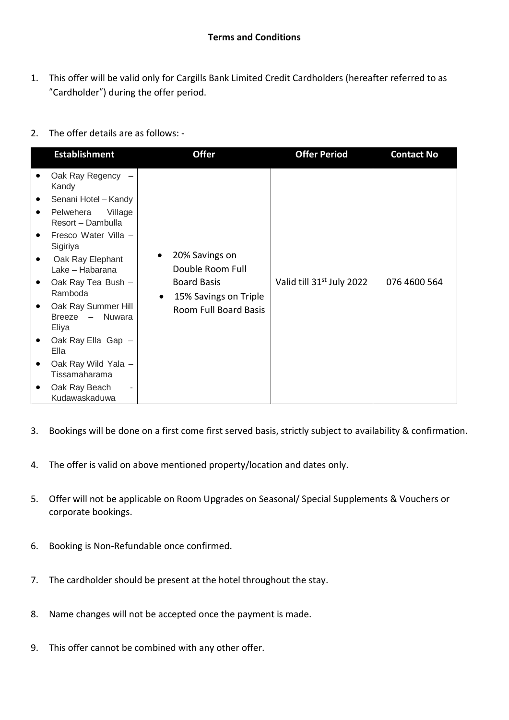- 1. This offer will be valid only for Cargills Bank Limited Credit Cardholders (hereafter referred to as "Cardholder") during the offer period.
- 2. The offer details are as follows: -

|           | <b>Establishment</b>                            |                        | <b>Offer</b>                                                                                               | <b>Offer Period</b>                   | <b>Contact No</b> |
|-----------|-------------------------------------------------|------------------------|------------------------------------------------------------------------------------------------------------|---------------------------------------|-------------------|
|           | Oak Ray Regency<br>Kandy                        | $\bullet$<br>$\bullet$ | 20% Savings on<br>Double Room Full<br><b>Board Basis</b><br>15% Savings on Triple<br>Room Full Board Basis | Valid till 31 <sup>st</sup> July 2022 | 076 4600 564      |
|           | Senani Hotel - Kandy                            |                        |                                                                                                            |                                       |                   |
| $\bullet$ | Pelwehera<br>Village<br>Resort - Dambulla       |                        |                                                                                                            |                                       |                   |
| ٠         | Fresco Water Villa -<br>Sigiriya                |                        |                                                                                                            |                                       |                   |
| ٠         | Oak Ray Elephant<br>Lake - Habarana             |                        |                                                                                                            |                                       |                   |
|           | Oak Ray Tea Bush -<br>Ramboda                   |                        |                                                                                                            |                                       |                   |
|           | Oak Ray Summer Hill<br>Breeze - Nuwara<br>Eliya |                        |                                                                                                            |                                       |                   |
|           | Oak Ray Ella Gap -<br>Ella                      |                        |                                                                                                            |                                       |                   |
|           | Oak Ray Wild Yala -                             |                        |                                                                                                            |                                       |                   |
|           | Tissamaharama                                   |                        |                                                                                                            |                                       |                   |
|           | Oak Ray Beach<br>Kudawaskaduwa                  |                        |                                                                                                            |                                       |                   |

- 3. Bookings will be done on a first come first served basis, strictly subject to availability & confirmation.
- 4. The offer is valid on above mentioned property/location and dates only.
- 5. Offer will not be applicable on Room Upgrades on Seasonal/ Special Supplements & Vouchers or corporate bookings.
- 6. Booking is Non-Refundable once confirmed.
- 7. The cardholder should be present at the hotel throughout the stay.
- 8. Name changes will not be accepted once the payment is made.
- 9. This offer cannot be combined with any other offer.